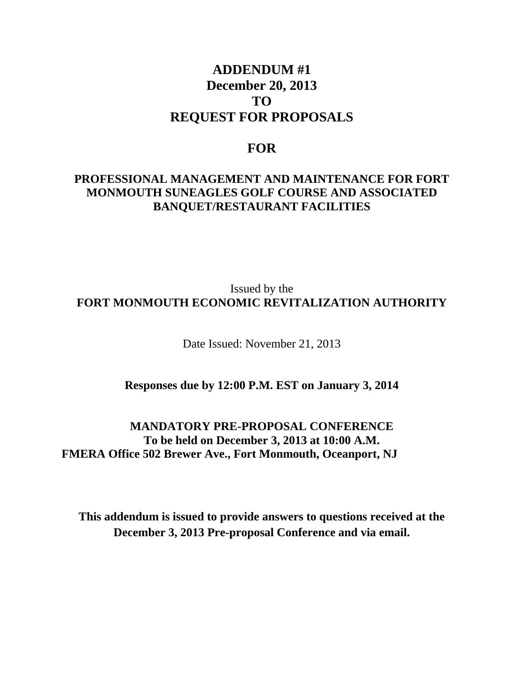# **ADDENDUM #1 December 20, 2013 TO REQUEST FOR PROPOSALS**

#### **FOR**

#### **PROFESSIONAL MANAGEMENT AND MAINTENANCE FOR FORT MONMOUTH SUNEAGLES GOLF COURSE AND ASSOCIATED BANQUET/RESTAURANT FACILITIES**

### Issued by the **FORT MONMOUTH ECONOMIC REVITALIZATION AUTHORITY**

Date Issued: November 21, 2013

#### **Responses due by 12:00 P.M. EST on January 3, 2014**

**MANDATORY PRE-PROPOSAL CONFERENCE To be held on December 3, 2013 at 10:00 A.M. FMERA Office 502 Brewer Ave., Fort Monmouth, Oceanport, NJ** 

**This addendum is issued to provide answers to questions received at the December 3, 2013 Pre-proposal Conference and via email.**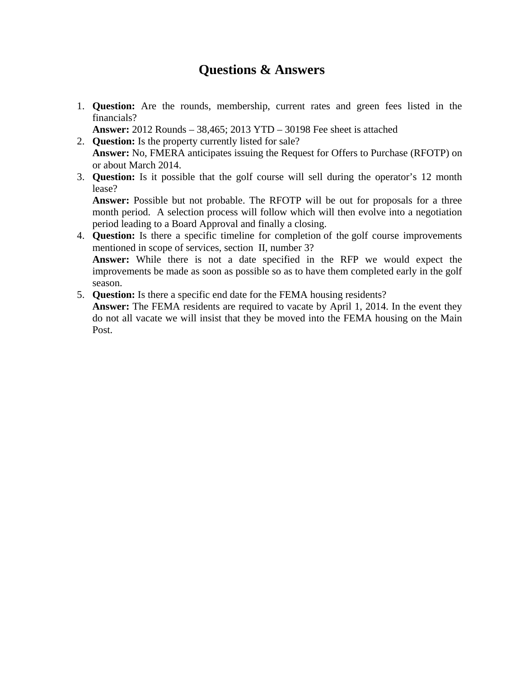# **Questions & Answers**

1. **Question:** Are the rounds, membership, current rates and green fees listed in the financials?

**Answer:** 2012 Rounds – 38,465; 2013 YTD – 30198 Fee sheet is attached

- 2. **Question:** Is the property currently listed for sale? **Answer:** No, FMERA anticipates issuing the Request for Offers to Purchase (RFOTP) on or about March 2014.
- 3. **Question:** Is it possible that the golf course will sell during the operator's 12 month lease?

**Answer:** Possible but not probable. The RFOTP will be out for proposals for a three month period. A selection process will follow which will then evolve into a negotiation period leading to a Board Approval and finally a closing.

4. **Question:** Is there a specific timeline for completion of the golf course improvements mentioned in scope of services, section II, number 3? **Answer:** While there is not a date specified in the RFP we would expect the improvements be made as soon as possible so as to have them completed early in the golf

season.

5. **Question:** Is there a specific end date for the FEMA housing residents?

**Answer:** The FEMA residents are required to vacate by April 1, 2014. In the event they do not all vacate we will insist that they be moved into the FEMA housing on the Main Post.